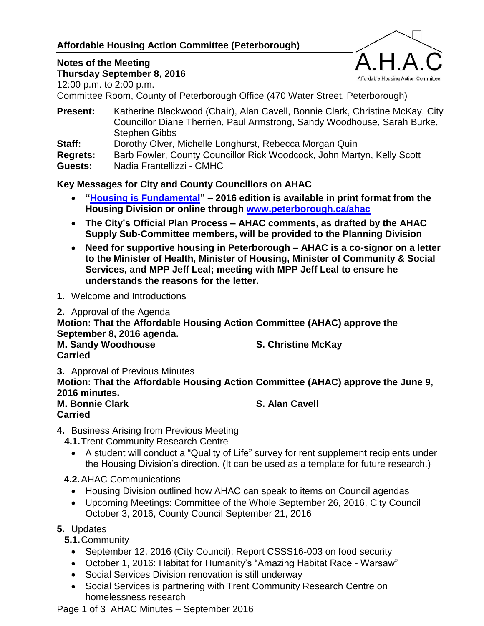## **Affordable Housing Action Committee (Peterborough)**



# **Notes of the Meeting**

**Thursday September 8, 2016** 12:00 p.m. to 2:00 p.m.

Committee Room, County of Peterborough Office (470 Water Street, Peterborough)

| <b>Present:</b> | Katherine Blackwood (Chair), Alan Cavell, Bonnie Clark, Christine McKay, City |
|-----------------|-------------------------------------------------------------------------------|
|                 | Councillor Diane Therrien, Paul Armstrong, Sandy Woodhouse, Sarah Burke,      |
|                 | <b>Stephen Gibbs</b>                                                          |
| Staff:          | Dorothy Olver, Michelle Longhurst, Rebecca Morgan Quin                        |
| Regrets:        | Barb Fowler, County Councillor Rick Woodcock, John Martyn, Kelly Scott        |
| Guests:         | Nadia Frantellizzi - CMHC                                                     |

## **Key Messages for City and County Councillors on AHAC**

- **["Housing is Fundamental"](http://www.peterborough.ca/Assets/City+Assets/Housing/Documents/Reports/Housing+is+Fundamental$!2c+AHAC/2016+Housing+is+Fundamental$!2c+AHAC.pdf) – 2016 edition is available in print format from the Housing Division or online through [www.peterborough.ca/ahac](http://www.peterborough.ca/ahac)**
- **The City's Official Plan Process – AHAC comments, as drafted by the AHAC Supply Sub-Committee members, will be provided to the Planning Division**
- **Need for supportive housing in Peterborough – AHAC is a co-signor on a letter to the Minister of Health, Minister of Housing, Minister of Community & Social Services, and MPP Jeff Leal; meeting with MPP Jeff Leal to ensure he understands the reasons for the letter.**
- **1.** Welcome and Introductions
- **2.** Approval of the Agenda

**Motion: That the Affordable Housing Action Committee (AHAC) approve the September 8, 2016 agenda.**

**M. Sandy Woodhouse S. Christine McKay Carried**

**3.** Approval of Previous Minutes

**Motion: That the Affordable Housing Action Committee (AHAC) approve the June 9, 2016 minutes.**

#### **M. Bonnie Clark S. Alan Cavell Carried**

**4.** Business Arising from Previous Meeting

- **4.1.**Trent Community Research Centre
	- A student will conduct a "Quality of Life" survey for rent supplement recipients under the Housing Division's direction. (It can be used as a template for future research.)
- **4.2.**AHAC Communications
	- Housing Division outlined how AHAC can speak to items on Council agendas
	- Upcoming Meetings: Committee of the Whole September 26, 2016, City Council October 3, 2016, County Council September 21, 2016

**5.** Updates

**5.1.**Community

- September 12, 2016 (City Council): Report CSSS16-003 on food security
- October 1, 2016: Habitat for Humanity's "Amazing Habitat Race Warsaw"
- Social Services Division renovation is still underway
- Social Services is partnering with Trent Community Research Centre on homelessness research

Page 1 of 3 AHAC Minutes – September 2016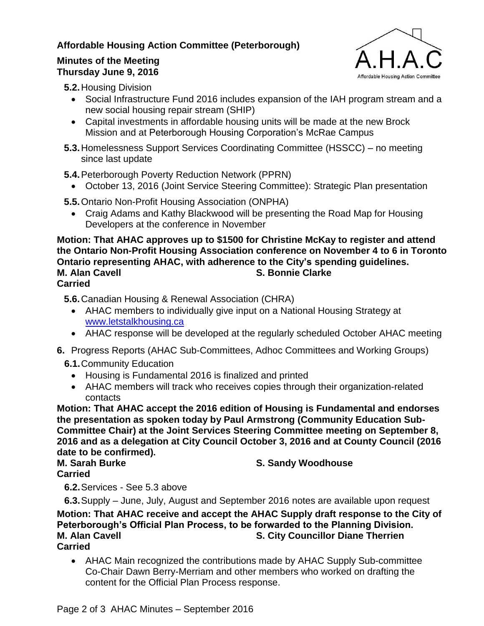# **Affordable Housing Action Committee (Peterborough)**

## **Minutes of the Meeting Thursday June 9, 2016**



**5.2.**Housing Division

- Social Infrastructure Fund 2016 includes expansion of the IAH program stream and a new social housing repair stream (SHIP)
- Capital investments in affordable housing units will be made at the new Brock Mission and at Peterborough Housing Corporation's McRae Campus
- **5.3.**Homelessness Support Services Coordinating Committee (HSSCC) no meeting since last update
- **5.4.**Peterborough Poverty Reduction Network (PPRN)
	- October 13, 2016 (Joint Service Steering Committee): Strategic Plan presentation
- **5.5.**Ontario Non-Profit Housing Association (ONPHA)
	- Craig Adams and Kathy Blackwood will be presenting the Road Map for Housing Developers at the conference in November

### **Motion: That AHAC approves up to \$1500 for Christine McKay to register and attend the Ontario Non-Profit Housing Association conference on November 4 to 6 in Toronto Ontario representing AHAC, with adherence to the City's spending guidelines. M. Alan Cavell S. Bonnie Clarke Carried**

**5.6.**Canadian Housing & Renewal Association (CHRA)

- AHAC members to individually give input on a National Housing Strategy at [www.letstalkhousing.ca](http://www.letstalkhousing.ca/)
- AHAC response will be developed at the regularly scheduled October AHAC meeting
- **6.** Progress Reports (AHAC Sub-Committees, Adhoc Committees and Working Groups)
	- **6.1.**Community Education
		- Housing is Fundamental 2016 is finalized and printed
		- AHAC members will track who receives copies through their organization-related contacts

**Motion: That AHAC accept the 2016 edition of Housing is Fundamental and endorses the presentation as spoken today by Paul Armstrong (Community Education Sub-Committee Chair) at the Joint Services Steering Committee meeting on September 8, 2016 and as a delegation at City Council October 3, 2016 and at County Council (2016 date to be confirmed).**

**Carried**

**M. Sarah Burke S. Sandy Woodhouse**

**6.2.**Services - See 5.3 above

**6.3.**Supply – June, July, August and September 2016 notes are available upon request **Motion: That AHAC receive and accept the AHAC Supply draft response to the City of Peterborough's Official Plan Process, to be forwarded to the Planning Division. M. Alan Cavell S. City Councillor Diane Therrien Carried**

 AHAC Main recognized the contributions made by AHAC Supply Sub-committee Co-Chair Dawn Berry-Merriam and other members who worked on drafting the content for the Official Plan Process response.